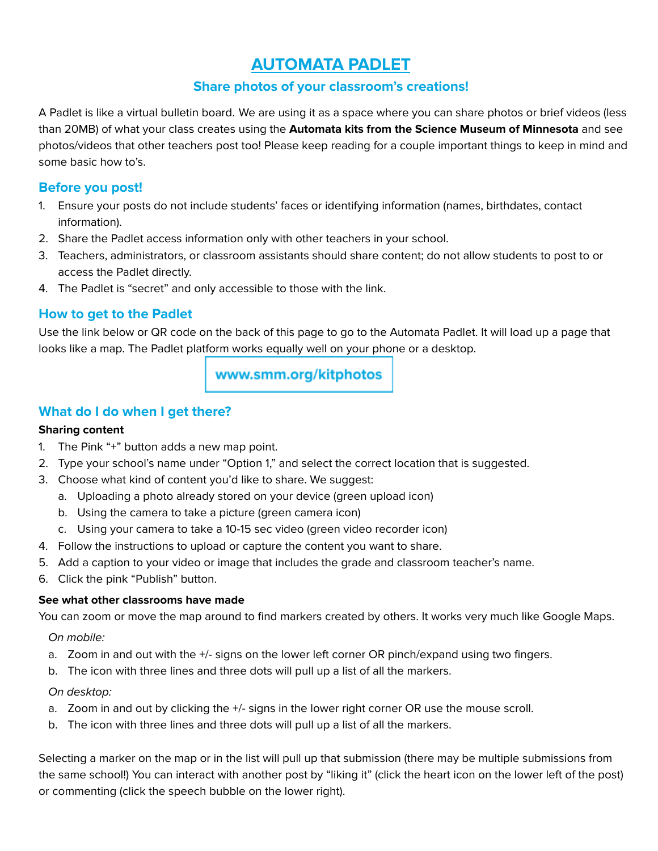# **AUTOMATA PADLET**

## **Share photos of your classroom's creations!**

A Padlet is like a virtual bulletin board. We are using it as a space where you can share photos or brief videos (less than 20MB) of what your class creates using the **Automata kits from the Science Museum of Minnesota** and see photos/videos that other teachers post too! Please keep reading for a couple important things to keep in mind and some basic how to's.

#### **Before you post!**

- 1. Ensure your posts do not include students' faces or identifying information (names, birthdates, contact information).
- 2. Share the Padlet access information only with other teachers in your school.
- 3. Teachers, administrators, or classroom assistants should share content; do not allow students to post to or access the Padlet directly.
- 4. The Padlet is "secret" and only accessible to those with the link.

### **How to get to the Padlet**

Use the link below or QR code on the back of this page to go to the Automata Padlet. It will load up a page that looks like a map. The Padlet platform works equally well on your phone or a desktop.

www.smm.org/kitphotos

## **What do I do when I get there?**

#### **Sharing content**

- 1. The Pink "+" button adds a new map point.
- 2. Type your school's name under "Option 1," and select the correct location that is suggested.
- 3. Choose what kind of content you'd like to share. We suggest:
	- a. Uploading a photo already stored on your device (green upload icon)
	- b. Using the camera to take a picture (green camera icon)
	- c. Using your camera to take a 10-15 sec video (green video recorder icon)
- 4. Follow the instructions to upload or capture the content you want to share.
- 5. Add a caption to your video or image that includes the grade and classroom teacher's name.
- 6. Click the pink "Publish" button.

#### **See what other classrooms have made**

You can zoom or move the map around to find markers created by others. It works very much like Google Maps.

On mobile:

- a. Zoom in and out with the +/- signs on the lower left corner OR pinch/expand using two fingers.
- b. The icon with three lines and three dots will pull up a list of all the markers.

#### On desktop:

- a. Zoom in and out by clicking the +/- signs in the lower right corner OR use the mouse scroll.
- b. The icon with three lines and three dots will pull up a list of all the markers.

Selecting a marker on the map or in the list will pull up that submission (there may be multiple submissions from the same school!) You can interact with another post by "liking it" (click the heart icon on the lower left of the post) or commenting (click the speech bubble on the lower right).